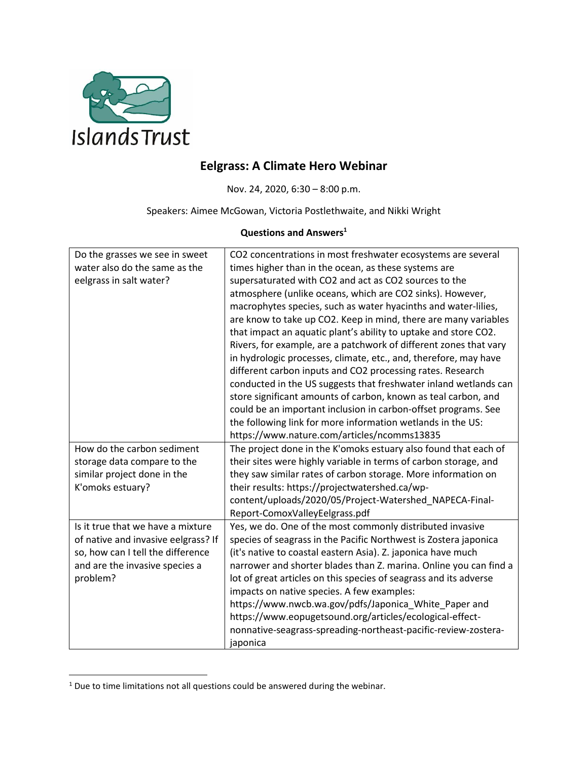

## **Eelgrass: A Climate Hero Webinar**

Nov. 24, 2020, 6:30 – 8:00 p.m.

Speakers: Aimee McGowan, Victoria Postlethwaite, and Nikki Wright

## **Questions and Answers<sup>1</sup>**

| Do the grasses we see in sweet      | CO2 concentrations in most freshwater ecosystems are several      |
|-------------------------------------|-------------------------------------------------------------------|
| water also do the same as the       | times higher than in the ocean, as these systems are              |
| eelgrass in salt water?             | supersaturated with CO2 and act as CO2 sources to the             |
|                                     | atmosphere (unlike oceans, which are CO2 sinks). However,         |
|                                     | macrophytes species, such as water hyacinths and water-lilies,    |
|                                     | are know to take up CO2. Keep in mind, there are many variables   |
|                                     | that impact an aquatic plant's ability to uptake and store CO2.   |
|                                     | Rivers, for example, are a patchwork of different zones that vary |
|                                     | in hydrologic processes, climate, etc., and, therefore, may have  |
|                                     | different carbon inputs and CO2 processing rates. Research        |
|                                     | conducted in the US suggests that freshwater inland wetlands can  |
|                                     | store significant amounts of carbon, known as teal carbon, and    |
|                                     | could be an important inclusion in carbon-offset programs. See    |
|                                     | the following link for more information wetlands in the US:       |
|                                     | https://www.nature.com/articles/ncomms13835                       |
| How do the carbon sediment          | The project done in the K'omoks estuary also found that each of   |
| storage data compare to the         | their sites were highly variable in terms of carbon storage, and  |
| similar project done in the         | they saw similar rates of carbon storage. More information on     |
| K'omoks estuary?                    | their results: https://projectwatershed.ca/wp-                    |
|                                     | content/uploads/2020/05/Project-Watershed_NAPECA-Final-           |
|                                     | Report-ComoxValleyEelgrass.pdf                                    |
| Is it true that we have a mixture   | Yes, we do. One of the most commonly distributed invasive         |
| of native and invasive eelgrass? If | species of seagrass in the Pacific Northwest is Zostera japonica  |
| so, how can I tell the difference   | (it's native to coastal eastern Asia). Z. japonica have much      |
| and are the invasive species a      | narrower and shorter blades than Z. marina. Online you can find a |
| problem?                            | lot of great articles on this species of seagrass and its adverse |
|                                     | impacts on native species. A few examples:                        |
|                                     | https://www.nwcb.wa.gov/pdfs/Japonica_White_Paper and             |
|                                     | https://www.eopugetsound.org/articles/ecological-effect-          |
|                                     | nonnative-seagrass-spreading-northeast-pacific-review-zostera-    |
|                                     | japonica                                                          |

 $\overline{\phantom{a}}$ 

 $1$  Due to time limitations not all questions could be answered during the webinar.